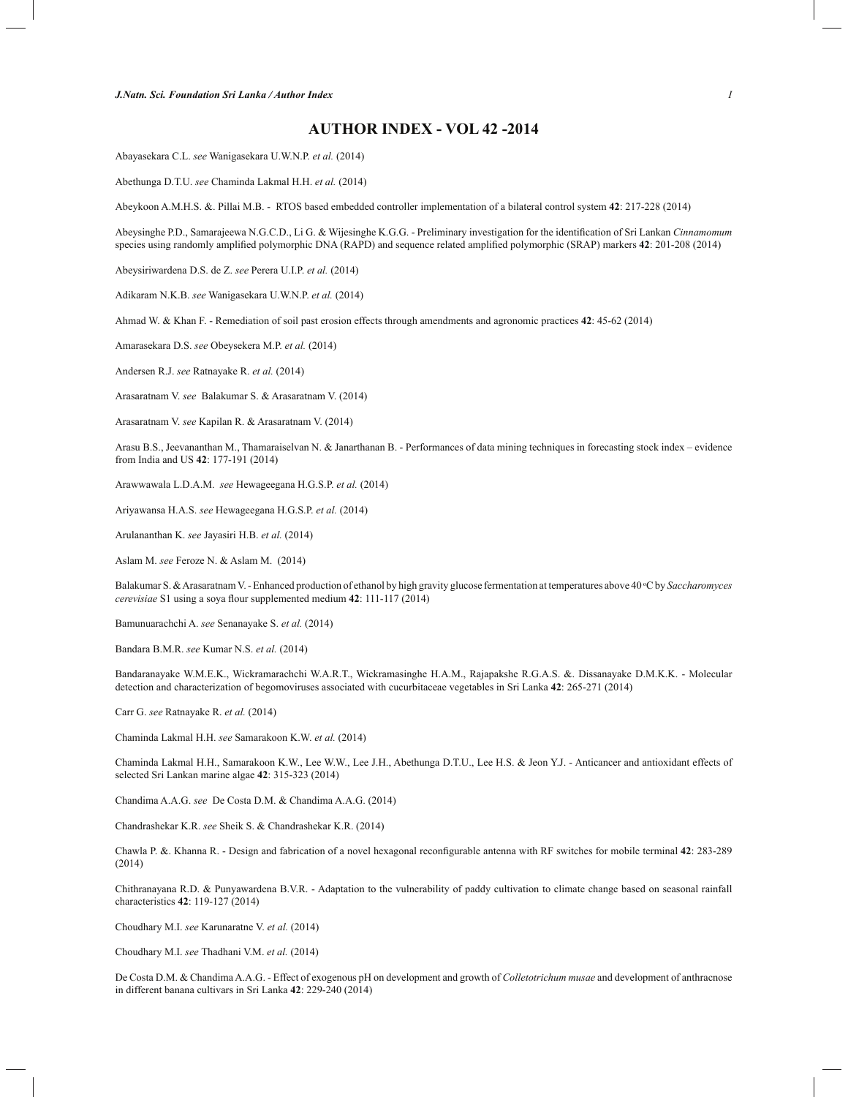## **AUTHOR INDEX - VOL 42 -2014**

Abayasekara C.L. *see* Wanigasekara U.W.N.P. *et al.* (2014)

Abethunga D.T.U. *see* Chaminda Lakmal H.H. *et al.* (2014)

Abeykoon A.M.H.S. &. Pillai M.B. - RTOS based embedded controller implementation of a bilateral control system **42**: 217-228 (2014)

Abeysinghe P.D., Samarajeewa N.G.C.D., Li G. & Wijesinghe K.G.G. - Preliminary investigation for the identification of Sri Lankan *Cinnamomum*  species using randomly amplified polymorphic DNA (RAPD) and sequence related amplified polymorphic (SRAP) markers **42**: 201-208 (2014)

Abeysiriwardena D.S. de Z. *see* Perera U.I.P. *et al.* (2014)

Adikaram N.K.B. *see* Wanigasekara U.W.N.P. *et al.* (2014)

Ahmad W. & Khan F. - Remediation of soil past erosion effects through amendments and agronomic practices **42**: 45-62 (2014)

Amarasekara D.S. *see* Obeysekera M.P. *et al.* (2014)

Andersen R.J. *see* Ratnayake R. *et al.* (2014)

Arasaratnam V. *see* Balakumar S. & Arasaratnam V. (2014)

Arasaratnam V. *see* Kapilan R. & Arasaratnam V. (2014)

Arasu B.S., Jeevananthan M., Thamaraiselvan N. & Janarthanan B. - Performances of data mining techniques in forecasting stock index – evidence from India and US **42**: 177-191 (2014)

Arawwawala L.D.A.M. *see* Hewageegana H.G.S.P. *et al.* (2014)

Ariyawansa H.A.S. *see* Hewageegana H.G.S.P. *et al.* (2014)

Arulananthan K. *see* Jayasiri H.B. *et al.* (2014)

Aslam M. *see* Feroze N. & Aslam M. (2014)

Balakumar S. & Arasaratnam V. - Enhanced production of ethanol by high gravity glucose fermentation at temperatures above 40 °C by *Saccharomyces cerevisiae* S1 using a soya flour supplemented medium **42**: 111-117 (2014)

Bamunuarachchi A. *see* Senanayake S. *et al.* (2014)

Bandara B.M.R. *see* Kumar N.S. *et al.* (2014)

Bandaranayake W.M.E.K., Wickramarachchi W.A.R.T., Wickramasinghe H.A.M., Rajapakshe R.G.A.S. &. Dissanayake D.M.K.K. - Molecular detection and characterization of begomoviruses associated with cucurbitaceae vegetables in Sri Lanka **42**: 265-271 (2014)

Carr G. *see* Ratnayake R. *et al.* (2014)

Chaminda Lakmal H.H. *see* Samarakoon K.W. *et al.* (2014)

Chaminda Lakmal H.H., Samarakoon K.W., Lee W.W., Lee J.H., Abethunga D.T.U., Lee H.S. & Jeon Y.J. - Anticancer and antioxidant effects of selected Sri Lankan marine algae **42**: 315-323 (2014)

Chandima A.A.G. *see* De Costa D.M. & Chandima A.A.G. (2014)

Chandrashekar K.R. *see* Sheik S. & Chandrashekar K.R. (2014)

Chawla P. &. Khanna R. - Design and fabrication of a novel hexagonal reconfigurable antenna with RF switches for mobile terminal **42**: 283-289 (2014)

Chithranayana R.D. & Punyawardena B.V.R. - Adaptation to the vulnerability of paddy cultivation to climate change based on seasonal rainfall characteristics **42**: 119-127 (2014)

Choudhary M.I. *see* Karunaratne V. *et al.* (2014)

Choudhary M.I. *see* Thadhani V.M. *et al.* (2014)

De Costa D.M. & Chandima A.A.G. - Effect of exogenous pH on development and growth of *Colletotrichum musae* and development of anthracnose in different banana cultivars in Sri Lanka **42**: 229-240 (2014)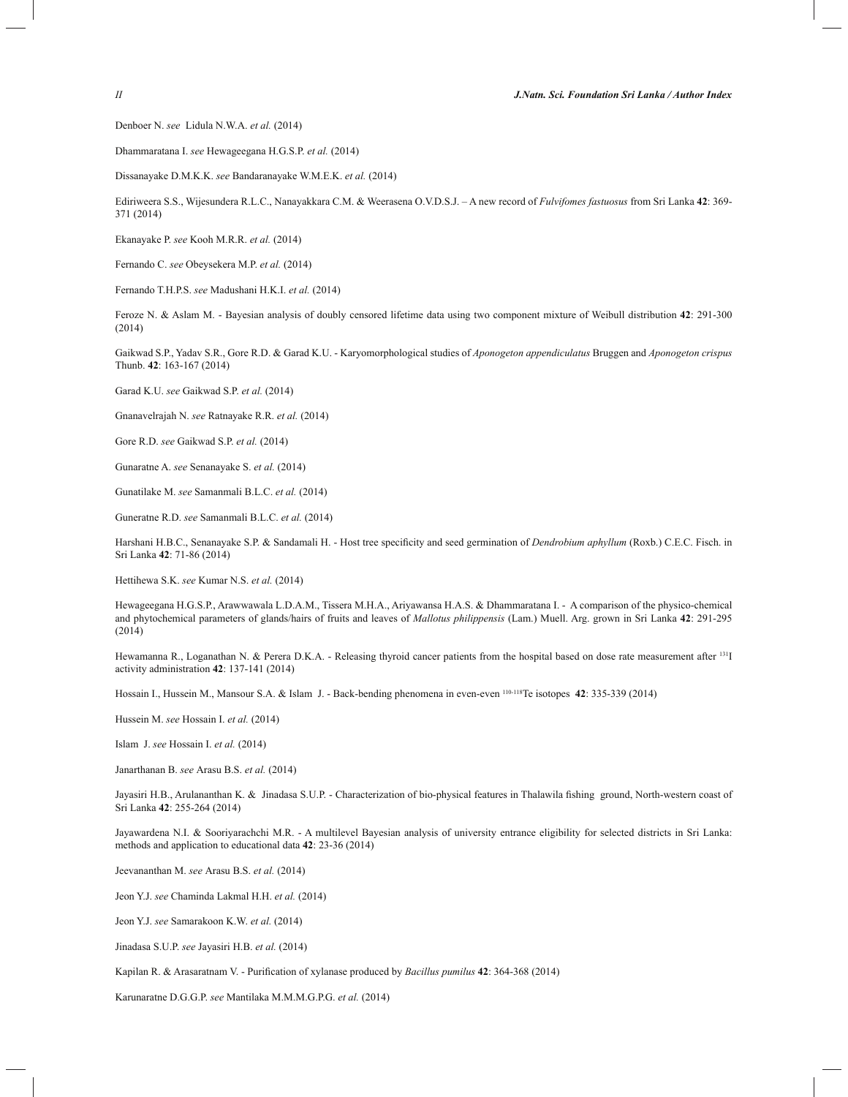Denboer N. *see* Lidula N.W.A. *et al.* (2014)

Dhammaratana I. *see* Hewageegana H.G.S.P. *et al.* (2014)

Dissanayake D.M.K.K. *see* Bandaranayake W.M.E.K. *et al.* (2014)

Ediriweera S.S., Wijesundera R.L.C., Nanayakkara C.M. & Weerasena O.V.D.S.J. – A new record of *Fulvifomes fastuosus* from Sri Lanka **42**: 369- 371 (2014)

Ekanayake P. *see* Kooh M.R.R. *et al.* (2014)

Fernando C. *see* Obeysekera M.P. *et al.* (2014)

Fernando T.H.P.S. *see* Madushani H.K.I. *et al.* (2014)

Feroze N. & Aslam M. - Bayesian analysis of doubly censored lifetime data using two component mixture of Weibull distribution **42**: 291-300 (2014)

Gaikwad S.P., Yadav S.R., Gore R.D. & Garad K.U. - Karyomorphological studies of *Aponogeton appendiculatus* Bruggen and *Aponogeton crispus*  Thunb. **42**: 163-167 (2014)

Garad K.U. *see* Gaikwad S.P. *et al.* (2014)

Gnanavelrajah N. *see* Ratnayake R.R. *et al.* (2014)

Gore R.D. *see* Gaikwad S.P. *et al.* (2014)

Gunaratne A. *see* Senanayake S. *et al.* (2014)

Gunatilake M. *see* Samanmali B.L.C. *et al.* (2014)

Guneratne R.D. *see* Samanmali B.L.C. *et al.* (2014)

Harshani H.B.C., Senanayake S.P. & Sandamali H. - Host tree specificity and seed germination of *Dendrobium aphyllum* (Roxb.) C.E.C. Fisch. in Sri Lanka **42**: 71-86 (2014)

Hettihewa S.K. *see* Kumar N.S. *et al.* (2014)

Hewageegana H.G.S.P., Arawwawala L.D.A.M., Tissera M.H.A., Ariyawansa H.A.S. & Dhammaratana I. - A comparison of the physico-chemical and phytochemical parameters of glands/hairs of fruits and leaves of *Mallotus philippensis* (Lam.) Muell. Arg. grown in Sri Lanka **42**: 291-295 (2014)

Hewamanna R., Loganathan N. & Perera D.K.A. - Releasing thyroid cancer patients from the hospital based on dose rate measurement after <sup>131</sup>I activity administration **42**: 137-141 (2014)

Hossain I., Hussein M., Mansour S.A. & Islam J. - Back-bending phenomena in even-even 110-118Te isotopes **42**: 335-339 (2014)

Hussein M. *see* Hossain I. *et al.* (2014)

Islam J. *see* Hossain I. *et al.* (2014)

Janarthanan B. *see* Arasu B.S. *et al.* (2014)

Jayasiri H.B., Arulananthan K. & Jinadasa S.U.P. - Characterization of bio-physical features in Thalawila fishing ground, North-western coast of Sri Lanka **42**: 255-264 (2014)

Jayawardena N.I. & Sooriyarachchi M.R. - A multilevel Bayesian analysis of university entrance eligibility for selected districts in Sri Lanka: methods and application to educational data **42**: 23-36 (2014)

Jeevananthan M. *see* Arasu B.S. *et al.* (2014)

Jeon Y.J. *see* Chaminda Lakmal H.H. *et al.* (2014)

Jeon Y.J. *see* Samarakoon K.W. *et al.* (2014)

Jinadasa S.U.P. *see* Jayasiri H.B. *et al.* (2014)

Kapilan R. & Arasaratnam V. - Purification of xylanase produced by *Bacillus pumilus* **42**: 364-368 (2014)

Karunaratne D.G.G.P. *see* Mantilaka M.M.M.G.P.G. *et al.* (2014)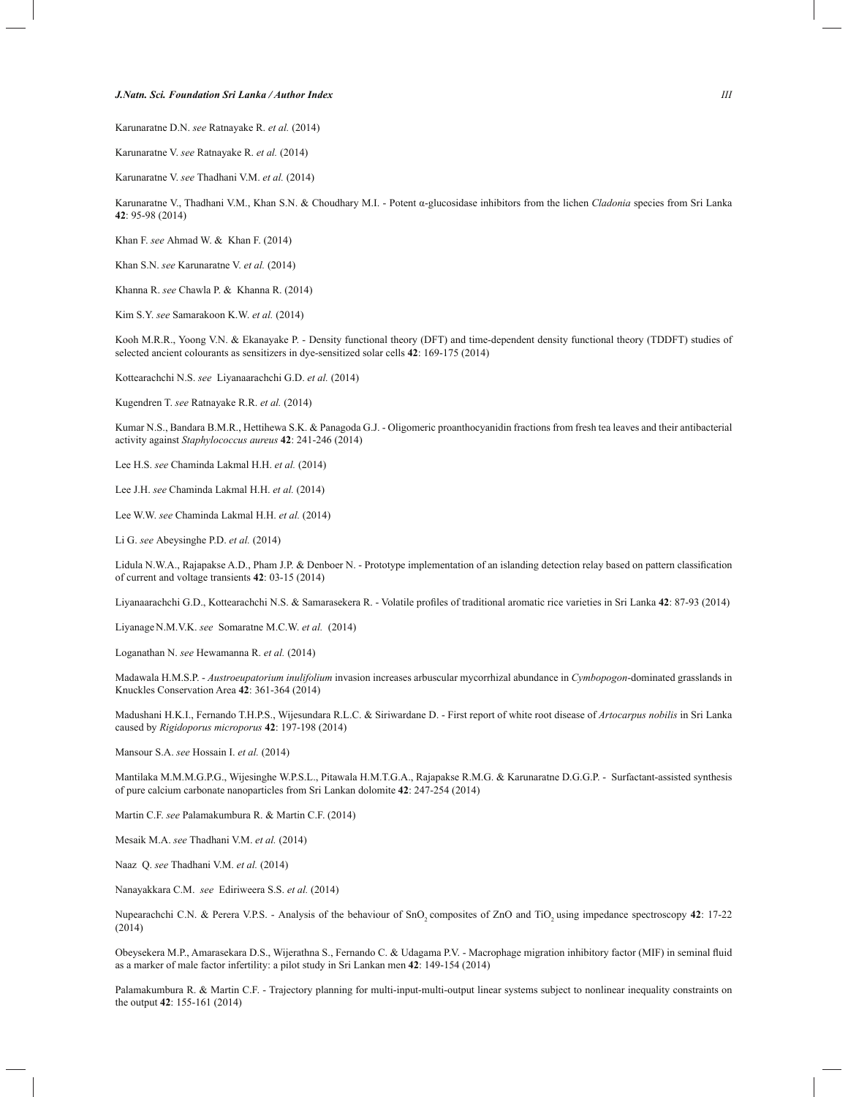## *J.Natn. Sci. Foundation Sri Lanka / Author Index III*

Karunaratne D.N. *see* Ratnayake R. *et al.* (2014)

Karunaratne V. *see* Ratnayake R. *et al.* (2014)

Karunaratne V. *see* Thadhani V.M. *et al.* (2014)

Karunaratne V., Thadhani V.M., Khan S.N. & Choudhary M.I. - Potent α-glucosidase inhibitors from the lichen *Cladonia* species from Sri Lanka **42**: 95-98 (2014)

Khan F. *see* Ahmad W. & Khan F. (2014)

Khan S.N. *see* Karunaratne V. *et al.* (2014)

Khanna R. *see* Chawla P. & Khanna R. (2014)

Kim S.Y. *see* Samarakoon K.W. *et al.* (2014)

Kooh M.R.R., Yoong V.N. & Ekanayake P. - Density functional theory (DFT) and time-dependent density functional theory (TDDFT) studies of selected ancient colourants as sensitizers in dye-sensitized solar cells **42**: 169-175 (2014)

Kottearachchi N.S. *see* Liyanaarachchi G.D. *et al.* (2014)

Kugendren T. *see* Ratnayake R.R. *et al.* (2014)

Kumar N.S., Bandara B.M.R., Hettihewa S.K. & Panagoda G.J. - Oligomeric proanthocyanidin fractions from fresh tea leaves and their antibacterial activity against *Staphylococcus aureus* **42**: 241-246 (2014)

Lee H.S. *see* Chaminda Lakmal H.H. *et al.* (2014)

Lee J.H. *see* Chaminda Lakmal H.H. *et al.* (2014)

Lee W.W. *see* Chaminda Lakmal H.H. *et al.* (2014)

Li G. *see* Abeysinghe P.D. *et al.* (2014)

Lidula N.W.A., Rajapakse A.D., Pham J.P. & Denboer N. - Prototype implementation of an islanding detection relay based on pattern classification of current and voltage transients **42**: 03-15 (2014)

Liyanaarachchi G.D., Kottearachchi N.S. & Samarasekera R. - Volatile profiles of traditional aromatic rice varieties in Sri Lanka **42**: 87-93 (2014)

LiyanageN.M.V.K. *see* Somaratne M.C.W. *et al.* (2014)

Loganathan N. *see* Hewamanna R. *et al.* (2014)

Madawala H.M.S.P. - *Austroeupatorium inulifolium* invasion increases arbuscular mycorrhizal abundance in *Cymbopogon*-dominated grasslands in Knuckles Conservation Area **42**: 361-364 (2014)

Madushani H.K.I., Fernando T.H.P.S., Wijesundara R.L.C. & Siriwardane D. - First report of white root disease of *Artocarpus nobilis* in Sri Lanka caused by *Rigidoporus microporus* **42**: 197-198 (2014)

Mansour S.A. *see* Hossain I. *et al.* (2014)

Mantilaka M.M.M.G.P.G., Wijesinghe W.P.S.L., Pitawala H.M.T.G.A., Rajapakse R.M.G. & Karunaratne D.G.G.P. - Surfactant-assisted synthesis of pure calcium carbonate nanoparticles from Sri Lankan dolomite **42**: 247-254 (2014)

Martin C.F. *see* Palamakumbura R. & Martin C.F. (2014)

Mesaik M.A. *see* Thadhani V.M. *et al.* (2014)

Naaz Q. *see* Thadhani V.M. *et al.* (2014)

Nanayakkara C.M. *see* Ediriweera S.S. *et al.* (2014)

Nupearachchi C.N. & Perera V.P.S. - Analysis of the behaviour of SnO<sub>2</sub> composites of ZnO and TiO<sub>2</sub> using impedance spectroscopy 42: 17-22 (2014)

Obeysekera M.P., Amarasekara D.S., Wijerathna S., Fernando C. & Udagama P.V. - Macrophage migration inhibitory factor (MIF) in seminal fluid as a marker of male factor infertility: a pilot study in Sri Lankan men **42**: 149-154 (2014)

Palamakumbura R. & Martin C.F. - Trajectory planning for multi-input-multi-output linear systems subject to nonlinear inequality constraints on the output **42**: 155-161 (2014)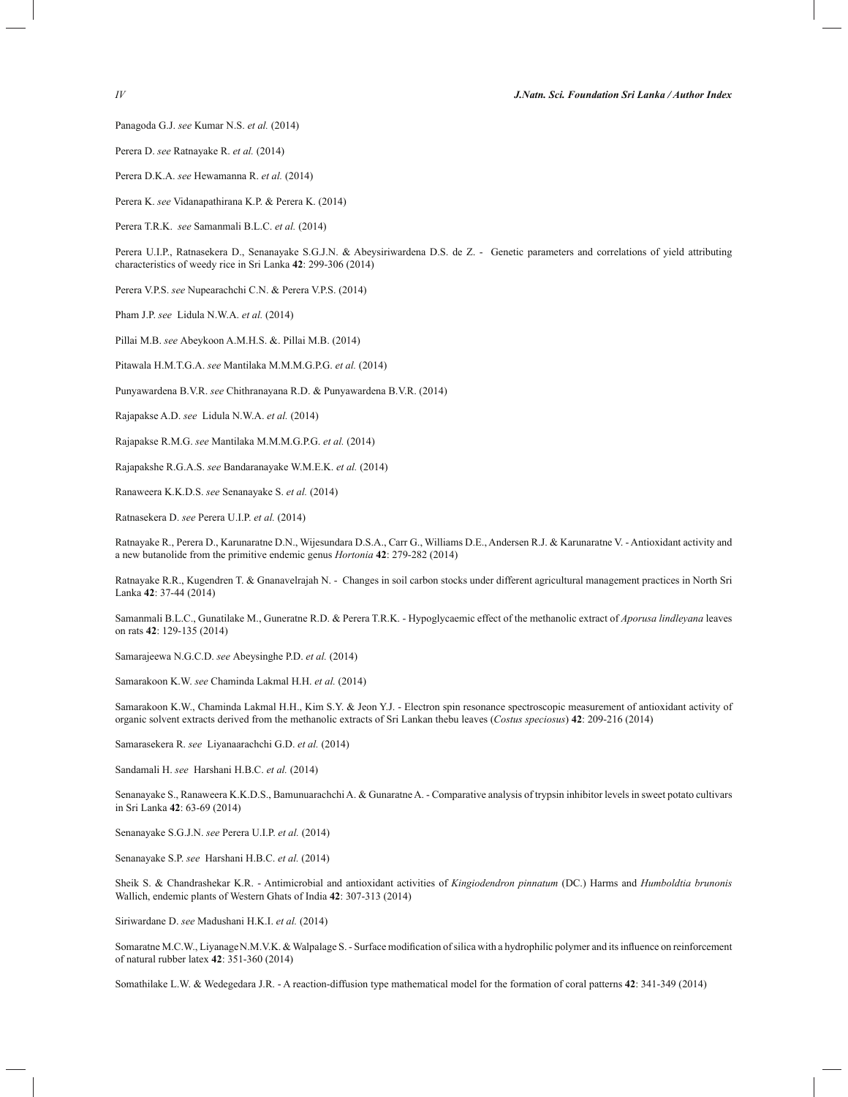Perera D. *see* Ratnayake R. *et al.* (2014)

Perera D.K.A. *see* Hewamanna R. *et al.* (2014)

Perera K. *see* Vidanapathirana K.P. & Perera K. (2014)

Perera T.R.K. *see* Samanmali B.L.C. *et al.* (2014)

Perera U.I.P., Ratnasekera D., Senanayake S.G.J.N. & Abeysiriwardena D.S. de Z. - Genetic parameters and correlations of yield attributing characteristics of weedy rice in Sri Lanka **42**: 299-306 (2014)

Perera V.P.S. *see* Nupearachchi C.N. & Perera V.P.S. (2014)

Pham J.P. *see* Lidula N.W.A. *et al.* (2014)

Pillai M.B. *see* Abeykoon A.M.H.S. &. Pillai M.B. (2014)

Pitawala H.M.T.G.A. *see* Mantilaka M.M.M.G.P.G. *et al.* (2014)

Punyawardena B.V.R. *see* Chithranayana R.D. & Punyawardena B.V.R. (2014)

Rajapakse A.D. *see* Lidula N.W.A. *et al.* (2014)

Rajapakse R.M.G. *see* Mantilaka M.M.M.G.P.G. *et al.* (2014)

Rajapakshe R.G.A.S. *see* Bandaranayake W.M.E.K. *et al.* (2014)

Ranaweera K.K.D.S. *see* Senanayake S. *et al.* (2014)

Ratnasekera D. *see* Perera U.I.P. *et al.* (2014)

Ratnayake R., Perera D., Karunaratne D.N., Wijesundara D.S.A., Carr G., Williams D.E., Andersen R.J. & Karunaratne V. - Antioxidant activity and a new butanolide from the primitive endemic genus *Hortonia* **42**: 279-282 (2014)

Ratnayake R.R., Kugendren T. & Gnanavelrajah N. - Changes in soil carbon stocks under different agricultural management practices in North Sri Lanka **42**: 37-44 (2014)

Samanmali B.L.C., Gunatilake M., Guneratne R.D. & Perera T.R.K. - Hypoglycaemic effect of the methanolic extract of *Aporusa lindleyana* leaves on rats **42**: 129-135 (2014)

Samarajeewa N.G.C.D. *see* Abeysinghe P.D. *et al.* (2014)

Samarakoon K.W. *see* Chaminda Lakmal H.H. *et al.* (2014)

Samarakoon K.W., Chaminda Lakmal H.H., Kim S.Y. & Jeon Y.J. - Electron spin resonance spectroscopic measurement of antioxidant activity of organic solvent extracts derived from the methanolic extracts of Sri Lankan thebu leaves (*Costus speciosus*) **42**: 209-216 (2014)

Samarasekera R. *see* Liyanaarachchi G.D. *et al.* (2014)

Sandamali H. *see* Harshani H.B.C. *et al.* (2014)

Senanayake S., Ranaweera K.K.D.S., Bamunuarachchi A. & Gunaratne A. - Comparative analysis of trypsin inhibitor levels in sweet potato cultivars in Sri Lanka **42**: 63-69 (2014)

Senanayake S.G.J.N. *see* Perera U.I.P. *et al.* (2014)

Senanayake S.P. *see* Harshani H.B.C. *et al.* (2014)

Sheik S. & Chandrashekar K.R. - Antimicrobial and antioxidant activities of *Kingiodendron pinnatum* (DC.) Harms and *Humboldtia brunonis*  Wallich, endemic plants of Western Ghats of India **42**: 307-313 (2014)

Siriwardane D. *see* Madushani H.K.I. *et al.* (2014)

Somaratne M.C.W., Liyanage N.M.V.K. & Walpalage S. - Surface modification of silica with a hydrophilic polymer and its influence on reinforcement of natural rubber latex **42**: 351-360 (2014)

Somathilake L.W. & Wedegedara J.R. - A reaction-diffusion type mathematical model for the formation of coral patterns **42**: 341-349 (2014)